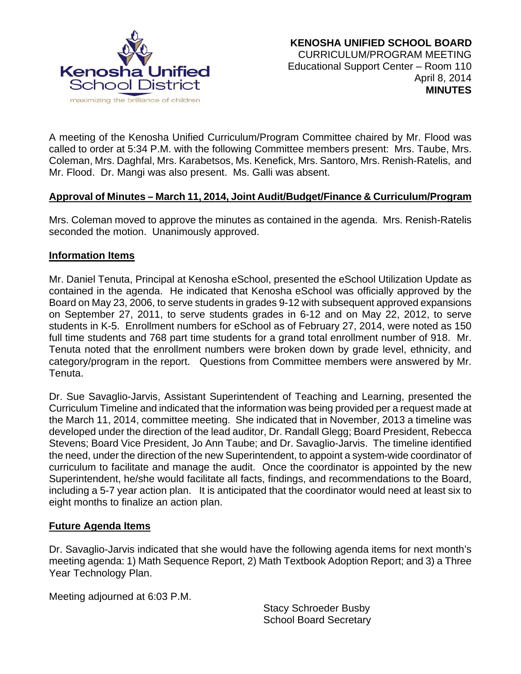

A meeting of the Kenosha Unified Curriculum/Program Committee chaired by Mr. Flood was called to order at 5:34 P.M. with the following Committee members present: Mrs. Taube, Mrs. Coleman, Mrs. Daghfal, Mrs. Karabetsos, Ms. Kenefick, Mrs. Santoro, Mrs. Renish-Ratelis, and Mr. Flood. Dr. Mangi was also present. Ms. Galli was absent.

## **Approval of Minutes – March 11, 2014, Joint Audit/Budget/Finance & Curriculum/Program**

Mrs. Coleman moved to approve the minutes as contained in the agenda. Mrs. Renish-Ratelis seconded the motion. Unanimously approved.

#### **Information Items**

Mr. Daniel Tenuta, Principal at Kenosha eSchool, presented the eSchool Utilization Update as contained in the agenda. He indicated that Kenosha eSchool was officially approved by the Board on May 23, 2006, to serve students in grades 9-12 with subsequent approved expansions on September 27, 2011, to serve students grades in 6-12 and on May 22, 2012, to serve students in K-5. Enrollment numbers for eSchool as of February 27, 2014, were noted as 150 full time students and 768 part time students for a grand total enrollment number of 918. Mr. Tenuta noted that the enrollment numbers were broken down by grade level, ethnicity, and category/program in the report. Questions from Committee members were answered by Mr. Tenuta.

Dr. Sue Savaglio-Jarvis, Assistant Superintendent of Teaching and Learning, presented the Curriculum Timeline and indicated that the information was being provided per a request made at the March 11, 2014, committee meeting. She indicated that in November, 2013 a timeline was developed under the direction of the lead auditor, Dr. Randall Glegg; Board President, Rebecca Stevens; Board Vice President, Jo Ann Taube; and Dr. Savaglio-Jarvis. The timeline identified the need, under the direction of the new Superintendent, to appoint a system-wide coordinator of curriculum to facilitate and manage the audit. Once the coordinator is appointed by the new Superintendent, he/she would facilitate all facts, findings, and recommendations to the Board, including a 5-7 year action plan. It is anticipated that the coordinator would need at least six to eight months to finalize an action plan.

#### **Future Agenda Items**

Dr. Savaglio-Jarvis indicated that she would have the following agenda items for next month's meeting agenda: 1) Math Sequence Report, 2) Math Textbook Adoption Report; and 3) a Three Year Technology Plan.

Meeting adjourned at 6:03 P.M.

Stacy Schroeder Busby School Board Secretary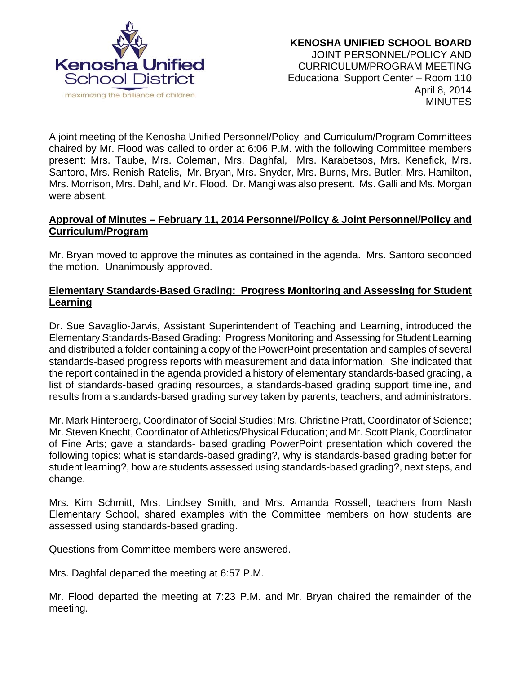

A joint meeting of the Kenosha Unified Personnel/Policy and Curriculum/Program Committees chaired by Mr. Flood was called to order at 6:06 P.M. with the following Committee members present: Mrs. Taube, Mrs. Coleman, Mrs. Daghfal, Mrs. Karabetsos, Mrs. Kenefick, Mrs. Santoro, Mrs. Renish-Ratelis, Mr. Bryan, Mrs. Snyder, Mrs. Burns, Mrs. Butler, Mrs. Hamilton, Mrs. Morrison, Mrs. Dahl, and Mr. Flood. Dr. Mangi was also present. Ms. Galli and Ms. Morgan were absent.

# **Approval of Minutes – February 11, 2014 Personnel/Policy & Joint Personnel/Policy and Curriculum/Program**

Mr. Bryan moved to approve the minutes as contained in the agenda. Mrs. Santoro seconded the motion. Unanimously approved.

### **Elementary Standards-Based Grading: Progress Monitoring and Assessing for Student Learning**

Dr. Sue Savaglio-Jarvis, Assistant Superintendent of Teaching and Learning, introduced the Elementary Standards-Based Grading: Progress Monitoring and Assessing for Student Learning and distributed a folder containing a copy of the PowerPoint presentation and samples of several standards-based progress reports with measurement and data information. She indicated that the report contained in the agenda provided a history of elementary standards-based grading, a list of standards-based grading resources, a standards-based grading support timeline, and results from a standards-based grading survey taken by parents, teachers, and administrators.

Mr. Mark Hinterberg, Coordinator of Social Studies; Mrs. Christine Pratt, Coordinator of Science; Mr. Steven Knecht, Coordinator of Athletics/Physical Education; and Mr. Scott Plank, Coordinator of Fine Arts; gave a standards- based grading PowerPoint presentation which covered the following topics: what is standards-based grading?, why is standards-based grading better for student learning?, how are students assessed using standards-based grading?, next steps, and change.

Mrs. Kim Schmitt, Mrs. Lindsey Smith, and Mrs. Amanda Rossell, teachers from Nash Elementary School, shared examples with the Committee members on how students are assessed using standards-based grading.

Questions from Committee members were answered.

Mrs. Daghfal departed the meeting at 6:57 P.M.

Mr. Flood departed the meeting at 7:23 P.M. and Mr. Bryan chaired the remainder of the meeting.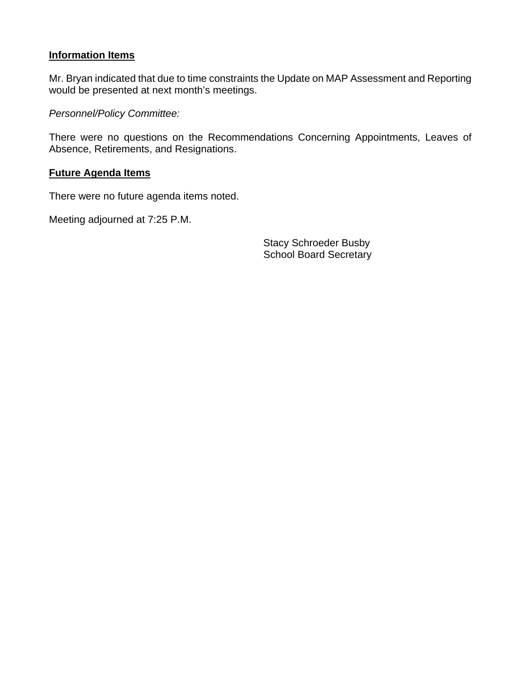#### **Information Items**

Mr. Bryan indicated that due to time constraints the Update on MAP Assessment and Reporting would be presented at next month's meetings.

*Personnel/Policy Committee:* 

There were no questions on the Recommendations Concerning Appointments, Leaves of Absence, Retirements, and Resignations.

### **Future Agenda Items**

There were no future agenda items noted.

Meeting adjourned at 7:25 P.M.

Stacy Schroeder Busby School Board Secretary